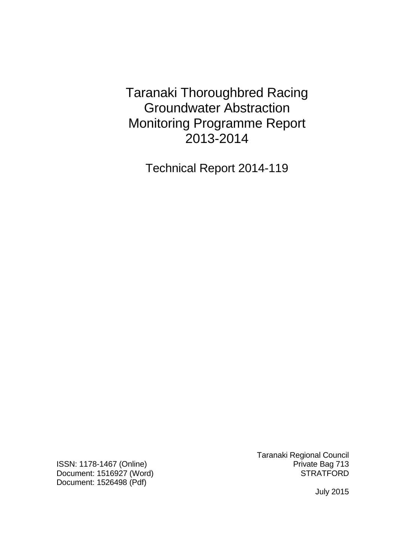Taranaki Thoroughbred Racing Groundwater Abstraction Monitoring Programme Report 2013-2014

Technical Report 2014-119

ISSN: 1178-1467 (Online) Document: 1516927 (Word) STRATFORD Document: 1526498 (Pdf)

Taranaki Regional Council

July 2015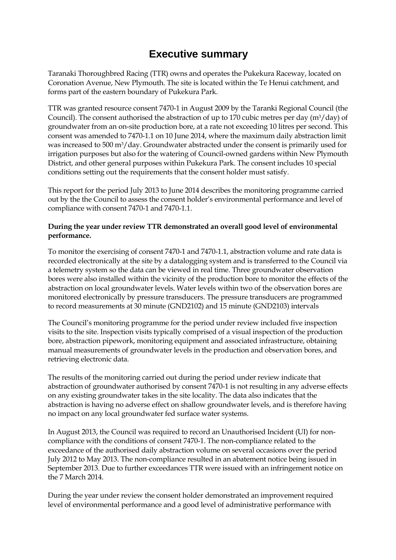## **Executive summary**

Taranaki Thoroughbred Racing (TTR) owns and operates the Pukekura Raceway, located on Coronation Avenue, New Plymouth. The site is located within the Te Henui catchment, and forms part of the eastern boundary of Pukekura Park.

TTR was granted resource consent 7470-1 in August 2009 by the Taranki Regional Council (the Council). The consent authorised the abstraction of up to 170 cubic metres per day  $(m^3/day)$  of groundwater from an on-site production bore, at a rate not exceeding 10 litres per second. This consent was amended to 7470-1.1 on 10 June 2014, where the maximum daily abstraction limit was increased to 500 m3/day. Groundwater abstracted under the consent is primarily used for irrigation purposes but also for the watering of Council-owned gardens within New Plymouth District, and other general purposes within Pukekura Park. The consent includes 10 special conditions setting out the requirements that the consent holder must satisfy.

This report for the period July 2013 to June 2014 describes the monitoring programme carried out by the the Council to assess the consent holder's environmental performance and level of compliance with consent 7470-1 and 7470-1.1.

### **During the year under review TTR demonstrated an overall good level of environmental performance.**

To monitor the exercising of consent 7470-1 and 7470-1.1, abstraction volume and rate data is recorded electronically at the site by a datalogging system and is transferred to the Council via a telemetry system so the data can be viewed in real time. Three groundwater observation bores were also installed within the vicinity of the production bore to monitor the effects of the abstraction on local groundwater levels. Water levels within two of the observation bores are monitored electronically by pressure transducers. The pressure transducers are programmed to record measurements at 30 minute (GND2102) and 15 minute (GND2103) intervals

The Council's monitoring programme for the period under review included five inspection visits to the site. Inspection visits typically comprised of a visual inspection of the production bore, abstraction pipework, monitoring equipment and associated infrastructure, obtaining manual measurements of groundwater levels in the production and observation bores, and retrieving electronic data.

The results of the monitoring carried out during the period under review indicate that abstraction of groundwater authorised by consent 7470-1 is not resulting in any adverse effects on any existing groundwater takes in the site locality. The data also indicates that the abstraction is having no adverse effect on shallow groundwater levels, and is therefore having no impact on any local groundwater fed surface water systems.

In August 2013, the Council was required to record an Unauthorised Incident (UI) for noncompliance with the conditions of consent 7470-1. The non-compliance related to the exceedance of the authorised daily abstraction volume on several occasions over the period July 2012 to May 2013. The non-compliance resulted in an abatement notice being issued in September 2013. Due to further exceedances TTR were issued with an infringement notice on the 7 March 2014.

During the year under review the consent holder demonstrated an improvement required level of environmental performance and a good level of administrative performance with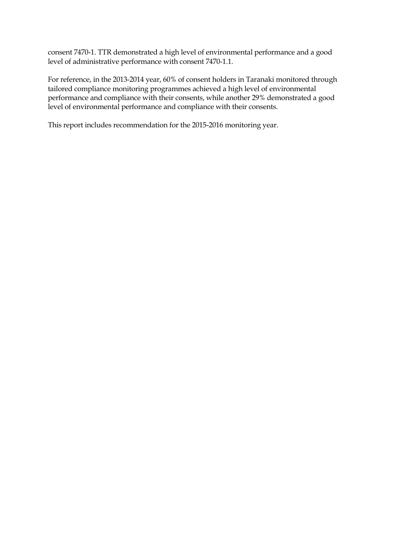consent 7470-1. TTR demonstrated a high level of environmental performance and a good level of administrative performance with consent 7470-1.1.

For reference, in the 2013-2014 year, 60% of consent holders in Taranaki monitored through tailored compliance monitoring programmes achieved a high level of environmental performance and compliance with their consents, while another 29% demonstrated a good level of environmental performance and compliance with their consents.

This report includes recommendation for the 2015-2016 monitoring year.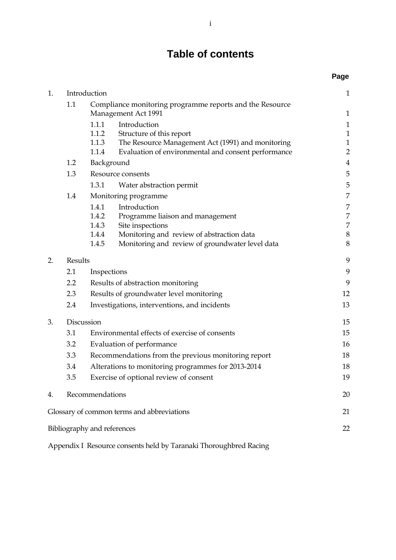# **Table of contents**

|    |                                                                 |                                                     |                                                                                                          | Page                           |
|----|-----------------------------------------------------------------|-----------------------------------------------------|----------------------------------------------------------------------------------------------------------|--------------------------------|
| 1. |                                                                 | Introduction                                        |                                                                                                          | $\mathbf{1}$                   |
|    | 1.1<br>Compliance monitoring programme reports and the Resource |                                                     |                                                                                                          |                                |
|    |                                                                 |                                                     | <b>Management Act 1991</b>                                                                               | $\mathbf{1}$                   |
|    |                                                                 | 1.1.1                                               | Introduction                                                                                             | $\mathbf{1}$                   |
|    |                                                                 | 1.1.2                                               | Structure of this report                                                                                 | $\mathbf{1}$                   |
|    |                                                                 | 1.1.3<br>1.1.4                                      | The Resource Management Act (1991) and monitoring<br>Evaluation of environmental and consent performance | $\mathbf{1}$<br>$\overline{2}$ |
|    | 1.2                                                             | Background                                          |                                                                                                          | $\overline{4}$                 |
|    | 1.3                                                             |                                                     | Resource consents                                                                                        | 5                              |
|    |                                                                 | 1.3.1                                               | Water abstraction permit                                                                                 | 5                              |
|    | 1.4                                                             |                                                     | Monitoring programme                                                                                     | 7                              |
|    |                                                                 | 1.4.1                                               | Introduction                                                                                             | 7                              |
|    |                                                                 | 1.4.2                                               | Programme liaison and management                                                                         | 7                              |
|    |                                                                 | 1.4.3                                               | Site inspections                                                                                         | 7                              |
|    |                                                                 | 1.4.4                                               | Monitoring and review of abstraction data                                                                | $\, 8$                         |
|    |                                                                 | 1.4.5                                               | Monitoring and review of groundwater level data                                                          | $\,8\,$                        |
| 2. | Results                                                         |                                                     |                                                                                                          | 9                              |
|    | 2.1                                                             | Inspections                                         |                                                                                                          | 9                              |
|    | 2.2                                                             | Results of abstraction monitoring                   |                                                                                                          | 9                              |
|    | 2.3                                                             |                                                     | Results of groundwater level monitoring                                                                  | 12                             |
|    | 2.4                                                             |                                                     | Investigations, interventions, and incidents                                                             | 13                             |
| 3. |                                                                 | Discussion                                          |                                                                                                          | 15                             |
|    | Environmental effects of exercise of consents<br>3.1            |                                                     | 15                                                                                                       |                                |
|    | 3.2                                                             | Evaluation of performance                           |                                                                                                          | 16                             |
|    | 3.3                                                             | Recommendations from the previous monitoring report |                                                                                                          | 18                             |
|    | 3.4                                                             | Alterations to monitoring programmes for 2013-2014  |                                                                                                          | 18                             |
|    | 3.5                                                             | Exercise of optional review of consent              |                                                                                                          | 19                             |
| 4. | Recommendations                                                 |                                                     | 20                                                                                                       |                                |
|    |                                                                 |                                                     | Glossary of common terms and abbreviations                                                               | 21                             |
|    |                                                                 | Bibliography and references                         |                                                                                                          | 22                             |
|    |                                                                 |                                                     |                                                                                                          |                                |

Appendix I Resource consents held by Taranaki Thoroughbred Racing 1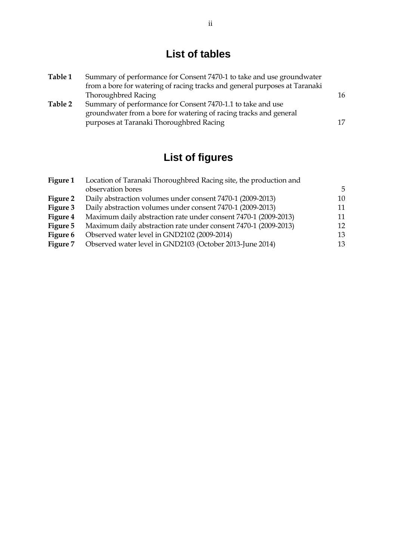# **List of tables**

| Table 1 | Summary of performance for Consent 7470-1 to take and use groundwater      |    |
|---------|----------------------------------------------------------------------------|----|
|         | from a bore for watering of racing tracks and general purposes at Taranaki |    |
|         | Thoroughbred Racing                                                        | 16 |
| Table 2 | Summary of performance for Consent 7470-1.1 to take and use                |    |
|         | groundwater from a bore for watering of racing tracks and general          |    |
|         | purposes at Taranaki Thoroughbred Racing                                   | 17 |
|         |                                                                            |    |

# **List of figures**

| Location of Taranaki Thoroughbred Racing site, the production and<br>Figure 1 |                                                                 |    |
|-------------------------------------------------------------------------------|-----------------------------------------------------------------|----|
|                                                                               | observation bores                                               | 5  |
| Figure 2                                                                      | Daily abstraction volumes under consent 7470-1 (2009-2013)      | 10 |
| Figure 3                                                                      | Daily abstraction volumes under consent 7470-1 (2009-2013)      | 11 |
| <b>Figure 4</b>                                                               | Maximum daily abstraction rate under consent 7470-1 (2009-2013) | 11 |
| Figure 5                                                                      | Maximum daily abstraction rate under consent 7470-1 (2009-2013) | 12 |
| Figure 6                                                                      | Observed water level in GND2102 (2009-2014)                     | 13 |
| Figure 7                                                                      | Observed water level in GND2103 (October 2013-June 2014)        | 13 |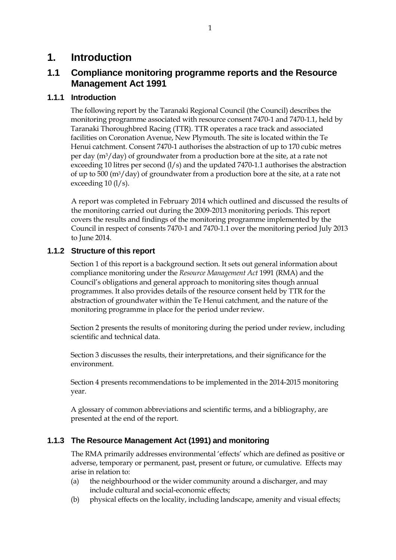## **1. Introduction**

## **1.1 Compliance monitoring programme reports and the Resource Management Act 1991**

### **1.1.1 Introduction**

The following report by the Taranaki Regional Council (the Council) describes the monitoring programme associated with resource consent 7470-1 and 7470-1.1, held by Taranaki Thoroughbred Racing (TTR). TTR operates a race track and associated facilities on Coronation Avenue, New Plymouth. The site is located within the Te Henui catchment. Consent 7470-1 authorises the abstraction of up to 170 cubic metres per day (m3/day) of groundwater from a production bore at the site, at a rate not exceeding 10 litres per second (l/s) and the updated 7470-1.1 authorises the abstraction of up to 500 (m3/day) of groundwater from a production bore at the site, at a rate not exceeding 10 (l/s).

A report was completed in February 2014 which outlined and discussed the results of the monitoring carried out during the 2009-2013 monitoring periods. This report covers the results and findings of the monitoring programme implemented by the Council in respect of consents 7470-1 and 7470-1.1 over the monitoring period July 2013 to June 2014.

### **1.1.2 Structure of this report**

Section 1 of this report is a background section. It sets out general information about compliance monitoring under the *Resource Management Act* 1991 (RMA) and the Council's obligations and general approach to monitoring sites though annual programmes. It also provides details of the resource consent held by TTR for the abstraction of groundwater within the Te Henui catchment, and the nature of the monitoring programme in place for the period under review.

Section 2 presents the results of monitoring during the period under review, including scientific and technical data.

Section 3 discusses the results, their interpretations, and their significance for the environment.

Section 4 presents recommendations to be implemented in the 2014-2015 monitoring year.

A glossary of common abbreviations and scientific terms, and a bibliography, are presented at the end of the report.

### **1.1.3 The Resource Management Act (1991) and monitoring**

The RMA primarily addresses environmental 'effects' which are defined as positive or adverse, temporary or permanent, past, present or future, or cumulative. Effects may arise in relation to:

- (a) the neighbourhood or the wider community around a discharger, and may include cultural and social-economic effects;
- (b) physical effects on the locality, including landscape, amenity and visual effects;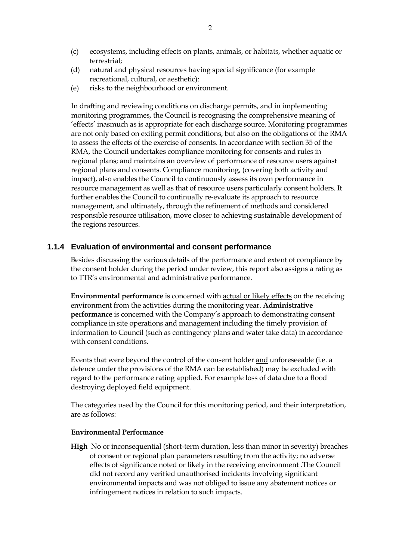- (c) ecosystems, including effects on plants, animals, or habitats, whether aquatic or terrestrial;
- (d) natural and physical resources having special significance (for example recreational, cultural, or aesthetic):
- (e) risks to the neighbourhood or environment.

In drafting and reviewing conditions on discharge permits, and in implementing monitoring programmes, the Council is recognising the comprehensive meaning of 'effects' inasmuch as is appropriate for each discharge source. Monitoring programmes are not only based on exiting permit conditions, but also on the obligations of the RMA to assess the effects of the exercise of consents. In accordance with section 35 of the RMA, the Council undertakes compliance monitoring for consents and rules in regional plans; and maintains an overview of performance of resource users against regional plans and consents. Compliance monitoring, (covering both activity and impact), also enables the Council to continuously assess its own performance in resource management as well as that of resource users particularly consent holders. It further enables the Council to continually re-evaluate its approach to resource management, and ultimately, through the refinement of methods and considered responsible resource utilisation, move closer to achieving sustainable development of the regions resources.

#### **1.1.4 Evaluation of environmental and consent performance**

Besides discussing the various details of the performance and extent of compliance by the consent holder during the period under review, this report also assigns a rating as to TTR's environmental and administrative performance.

**Environmental performance** is concerned with actual or likely effects on the receiving environment from the activities during the monitoring year. **Administrative performance** is concerned with the Company's approach to demonstrating consent compliance in site operations and management including the timely provision of information to Council (such as contingency plans and water take data) in accordance with consent conditions.

Events that were beyond the control of the consent holder and unforeseeable (i.e. a defence under the provisions of the RMA can be established) may be excluded with regard to the performance rating applied. For example loss of data due to a flood destroying deployed field equipment.

The categories used by the Council for this monitoring period, and their interpretation, are as follows:

#### **Environmental Performance**

**High** No or inconsequential (short-term duration, less than minor in severity) breaches of consent or regional plan parameters resulting from the activity; no adverse effects of significance noted or likely in the receiving environment .The Council did not record any verified unauthorised incidents involving significant environmental impacts and was not obliged to issue any abatement notices or infringement notices in relation to such impacts.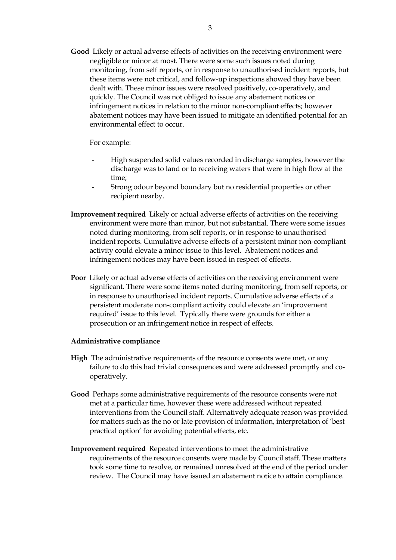**Good** Likely or actual adverse effects of activities on the receiving environment were negligible or minor at most. There were some such issues noted during monitoring, from self reports, or in response to unauthorised incident reports, but these items were not critical, and follow-up inspections showed they have been dealt with. These minor issues were resolved positively, co-operatively, and quickly. The Council was not obliged to issue any abatement notices or infringement notices in relation to the minor non-compliant effects; however abatement notices may have been issued to mitigate an identified potential for an environmental effect to occur.

### For example:

- High suspended solid values recorded in discharge samples, however the discharge was to land or to receiving waters that were in high flow at the time;
- Strong odour beyond boundary but no residential properties or other recipient nearby.
- **Improvement required** Likely or actual adverse effects of activities on the receiving environment were more than minor, but not substantial. There were some issues noted during monitoring, from self reports, or in response to unauthorised incident reports. Cumulative adverse effects of a persistent minor non-compliant activity could elevate a minor issue to this level. Abatement notices and infringement notices may have been issued in respect of effects.
- **Poor** Likely or actual adverse effects of activities on the receiving environment were significant. There were some items noted during monitoring, from self reports, or in response to unauthorised incident reports. Cumulative adverse effects of a persistent moderate non-compliant activity could elevate an 'improvement required' issue to this level. Typically there were grounds for either a prosecution or an infringement notice in respect of effects.

#### **Administrative compliance**

- **High** The administrative requirements of the resource consents were met, or any failure to do this had trivial consequences and were addressed promptly and cooperatively.
- **Good** Perhaps some administrative requirements of the resource consents were not met at a particular time, however these were addressed without repeated interventions from the Council staff. Alternatively adequate reason was provided for matters such as the no or late provision of information, interpretation of 'best practical option' for avoiding potential effects, etc.
- **Improvement required** Repeated interventions to meet the administrative requirements of the resource consents were made by Council staff. These matters took some time to resolve, or remained unresolved at the end of the period under review. The Council may have issued an abatement notice to attain compliance.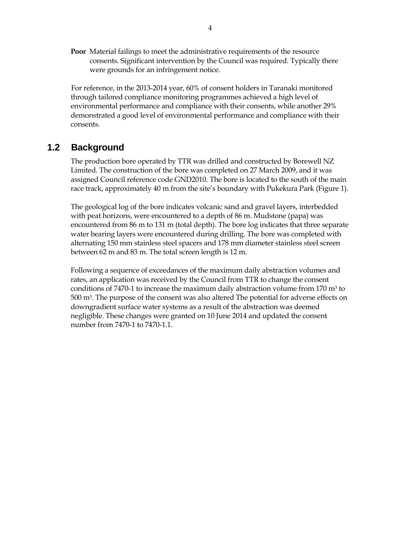**Poor** Material failings to meet the administrative requirements of the resource consents. Significant intervention by the Council was required. Typically there were grounds for an infringement notice.

 For reference, in the 2013-2014 year, 60% of consent holders in Taranaki monitored through tailored compliance monitoring programmes achieved a high level of environmental performance and compliance with their consents, while another 29% demonstrated a good level of environmental performance and compliance with their consents.

## **1.2 Background**

The production bore operated by TTR was drilled and constructed by Borewell NZ Limited. The construction of the bore was completed on 27 March 2009, and it was assigned Council reference code GND2010. The bore is located to the south of the main race track, approximately 40 m from the site's boundary with Pukekura Park (Figure 1).

The geological log of the bore indicates volcanic sand and gravel layers, interbedded with peat horizons, were encountered to a depth of 86 m. Mudstone (papa) was encountered from 86 m to 131 m (total depth). The bore log indicates that three separate water bearing layers were encountered during drilling. The bore was completed with alternating 150 mm stainless steel spacers and 178 mm diameter stainless steel screen between 62 m and 83 m. The total screen length is 12 m.

Following a sequence of exceedances of the maximum daily abstraction volumes and rates, an application was received by the Council from TTR to change the consent conditions of 7470-1 to increase the maximum daily abstraction volume from  $170 \text{ m}^3$  to 500 m3. The purpose of the consent was also altered The potential for adverse effects on downgradient surface water systems as a result of the abstraction was deemed negligible. These changes were granted on 10 June 2014 and updated the consent number from 7470-1 to 7470-1.1.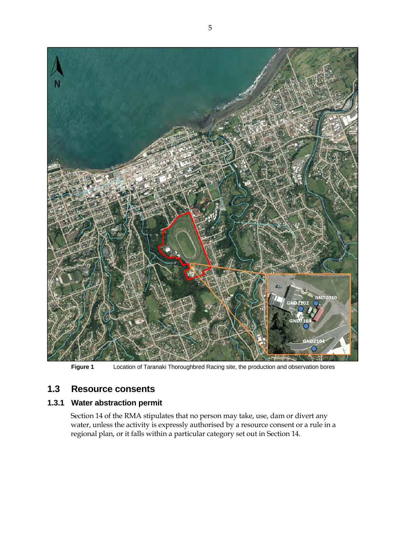

**Figure 1** Location of Taranaki Thoroughbred Racing site, the production and observation bores

## **1.3 Resource consents**

## **1.3.1 Water abstraction permit**

Section 14 of the RMA stipulates that no person may take, use, dam or divert any water, unless the activity is expressly authorised by a resource consent or a rule in a regional plan, or it falls within a particular category set out in Section 14.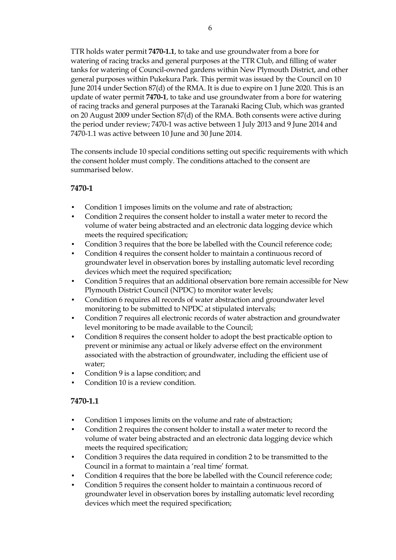TTR holds water permit **7470-1.1**, to take and use groundwater from a bore for watering of racing tracks and general purposes at the TTR Club, and filling of water tanks for watering of Council-owned gardens within New Plymouth District, and other general purposes within Pukekura Park. This permit was issued by the Council on 10 June 2014 under Section 87(d) of the RMA. It is due to expire on 1 June 2020. This is an update of water permit **7470-1**, to take and use groundwater from a bore for watering of racing tracks and general purposes at the Taranaki Racing Club, which was granted on 20 August 2009 under Section 87(d) of the RMA. Both consents were active during the period under review; 7470-1 was active between 1 July 2013 and 9 June 2014 and 7470-1.1 was active between 10 June and 30 June 2014.

The consents include 10 special conditions setting out specific requirements with which the consent holder must comply. The conditions attached to the consent are summarised below.

### **7470-1**

- Condition 1 imposes limits on the volume and rate of abstraction;
- Condition 2 requires the consent holder to install a water meter to record the volume of water being abstracted and an electronic data logging device which meets the required specification;
- Condition 3 requires that the bore be labelled with the Council reference code;
- Condition 4 requires the consent holder to maintain a continuous record of groundwater level in observation bores by installing automatic level recording devices which meet the required specification;
- Condition 5 requires that an additional observation bore remain accessible for New Plymouth District Council (NPDC) to monitor water levels;
- Condition 6 requires all records of water abstraction and groundwater level monitoring to be submitted to NPDC at stipulated intervals;
- Condition 7 requires all electronic records of water abstraction and groundwater level monitoring to be made available to the Council;
- Condition 8 requires the consent holder to adopt the best practicable option to prevent or minimise any actual or likely adverse effect on the environment associated with the abstraction of groundwater, including the efficient use of water;
- Condition 9 is a lapse condition; and
- Condition 10 is a review condition.

### **7470-1.1**

- Condition 1 imposes limits on the volume and rate of abstraction;
- Condition 2 requires the consent holder to install a water meter to record the volume of water being abstracted and an electronic data logging device which meets the required specification;
- Condition 3 requires the data required in condition 2 to be transmitted to the Council in a format to maintain a 'real time' format.
- Condition 4 requires that the bore be labelled with the Council reference code;
- Condition 5 requires the consent holder to maintain a continuous record of groundwater level in observation bores by installing automatic level recording devices which meet the required specification;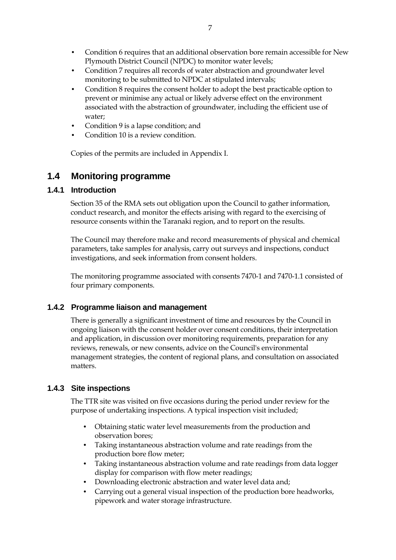- Condition 6 requires that an additional observation bore remain accessible for New Plymouth District Council (NPDC) to monitor water levels;
- Condition 7 requires all records of water abstraction and groundwater level monitoring to be submitted to NPDC at stipulated intervals;
- Condition 8 requires the consent holder to adopt the best practicable option to prevent or minimise any actual or likely adverse effect on the environment associated with the abstraction of groundwater, including the efficient use of water;
- Condition 9 is a lapse condition; and
- Condition 10 is a review condition.

Copies of the permits are included in Appendix I.

## **1.4 Monitoring programme**

### **1.4.1 Introduction**

Section 35 of the RMA sets out obligation upon the Council to gather information, conduct research, and monitor the effects arising with regard to the exercising of resource consents within the Taranaki region, and to report on the results.

The Council may therefore make and record measurements of physical and chemical parameters, take samples for analysis, carry out surveys and inspections, conduct investigations, and seek information from consent holders.

The monitoring programme associated with consents 7470-1 and 7470-1.1 consisted of four primary components.

### **1.4.2 Programme liaison and management**

There is generally a significant investment of time and resources by the Council in ongoing liaison with the consent holder over consent conditions, their interpretation and application, in discussion over monitoring requirements, preparation for any reviews, renewals, or new consents, advice on the Council's environmental management strategies, the content of regional plans, and consultation on associated matters.

### **1.4.3 Site inspections**

The TTR site was visited on five occasions during the period under review for the purpose of undertaking inspections. A typical inspection visit included;

- Obtaining static water level measurements from the production and observation bores;
- Taking instantaneous abstraction volume and rate readings from the production bore flow meter;
- Taking instantaneous abstraction volume and rate readings from data logger display for comparison with flow meter readings;
- Downloading electronic abstraction and water level data and;
- Carrying out a general visual inspection of the production bore headworks, pipework and water storage infrastructure.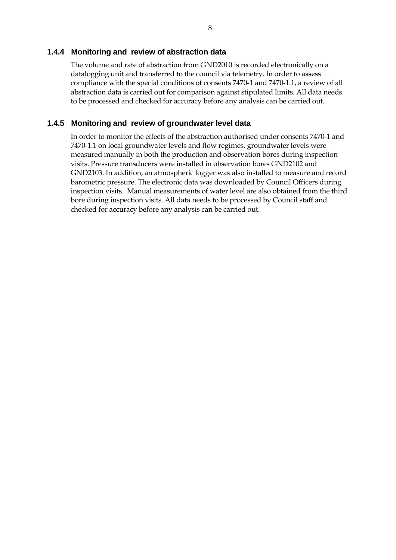#### **1.4.4 Monitoring and review of abstraction data**

The volume and rate of abstraction from GND2010 is recorded electronically on a datalogging unit and transferred to the council via telemetry. In order to assess compliance with the special conditions of consents 7470-1 and 7470-1.1, a review of all abstraction data is carried out for comparison against stipulated limits. All data needs to be processed and checked for accuracy before any analysis can be carried out.

#### **1.4.5 Monitoring and review of groundwater level data**

In order to monitor the effects of the abstraction authorised under consents 7470-1 and 7470-1.1 on local groundwater levels and flow regimes, groundwater levels were measured manually in both the production and observation bores during inspection visits. Pressure transducers were installed in observation bores GND2102 and GND2103. In addition, an atmospheric logger was also installed to measure and record barometric pressure. The electronic data was downloaded by Council Officers during inspection visits. Manual measurements of water level are also obtained from the third bore during inspection visits. All data needs to be processed by Council staff and checked for accuracy before any analysis can be carried out.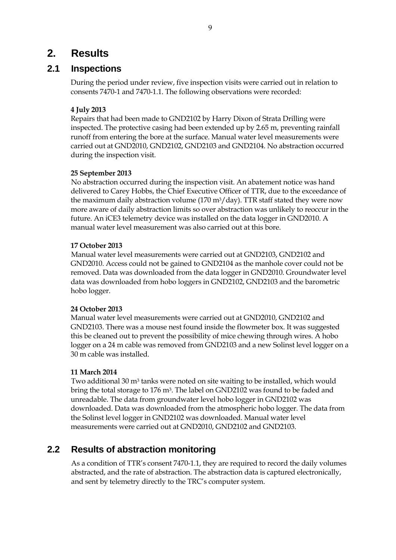## **2. Results**

## **2.1 Inspections**

During the period under review, five inspection visits were carried out in relation to consents 7470-1 and 7470-1.1. The following observations were recorded:

### **4 July 2013**

 Repairs that had been made to GND2102 by Harry Dixon of Strata Drilling were inspected. The protective casing had been extended up by 2.65 m, preventing rainfall runoff from entering the bore at the surface. Manual water level measurements were carried out at GND2010, GND2102, GND2103 and GND2104. No abstraction occurred during the inspection visit.

### **25 September 2013**

 No abstraction occurred during the inspection visit. An abatement notice was hand delivered to Carey Hobbs, the Chief Executive Officer of TTR, due to the exceedance of the maximum daily abstraction volume  $(170 \text{ m}^3/\text{day})$ . TTR staff stated they were now more aware of daily abstraction limits so over abstraction was unlikely to reoccur in the future. An iCE3 telemetry device was installed on the data logger in GND2010. A manual water level measurement was also carried out at this bore.

### **17 October 2013**

 Manual water level measurements were carried out at GND2103, GND2102 and GND2010. Access could not be gained to GND2104 as the manhole cover could not be removed. Data was downloaded from the data logger in GND2010. Groundwater level data was downloaded from hobo loggers in GND2102, GND2103 and the barometric hobo logger.

#### **24 October 2013**

 Manual water level measurements were carried out at GND2010, GND2102 and GND2103. There was a mouse nest found inside the flowmeter box. It was suggested this be cleaned out to prevent the possibility of mice chewing through wires. A hobo logger on a 24 m cable was removed from GND2103 and a new Solinst level logger on a 30 m cable was installed.

#### **11 March 2014**

Two additional 30 m<sup>3</sup> tanks were noted on site waiting to be installed, which would bring the total storage to 176 m<sup>3</sup>. The label on GND2102 was found to be faded and unreadable. The data from groundwater level hobo logger in GND2102 was downloaded. Data was downloaded from the atmospheric hobo logger. The data from the Solinst level logger in GND2102 was downloaded. Manual water level measurements were carried out at GND2010, GND2102 and GND2103.

## **2.2 Results of abstraction monitoring**

As a condition of TTR's consent 7470-1.1, they are required to record the daily volumes abstracted, and the rate of abstraction. The abstraction data is captured electronically, and sent by telemetry directly to the TRC's computer system.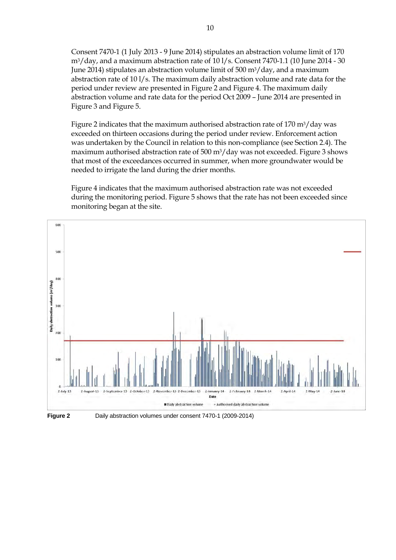Consent 7470-1 (1 July 2013 - 9 June 2014) stipulates an abstraction volume limit of 170 m3/day, and a maximum abstraction rate of 10 l/s. Consent 7470-1.1 (10 June 2014 - 30 June 2014) stipulates an abstraction volume limit of 500 m3/day, and a maximum abstraction rate of 10 l/s. The maximum daily abstraction volume and rate data for the period under review are presented in Figure 2 and Figure 4. The maximum daily abstraction volume and rate data for the period Oct 2009 – June 2014 are presented in Figure 3 and Figure 5.

Figure 2 indicates that the maximum authorised abstraction rate of  $170 \text{ m}^3/\text{day}$  was exceeded on thirteen occasions during the period under review. Enforcement action was undertaken by the Council in relation to this non-compliance (see Section 2.4). The maximum authorised abstraction rate of 500 m3/day was not exceeded. Figure 3 shows that most of the exceedances occurred in summer, when more groundwater would be needed to irrigate the land during the drier months.

Figure 4 indicates that the maximum authorised abstraction rate was not exceeded during the monitoring period. Figure 5 shows that the rate has not been exceeded since monitoring began at the site.



**Figure 2** Daily abstraction volumes under consent 7470-1 (2009-2014)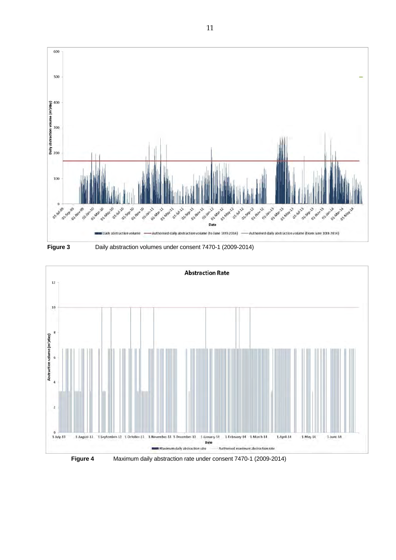





**Figure 4** Maximum daily abstraction rate under consent 7470-1 (2009-2014)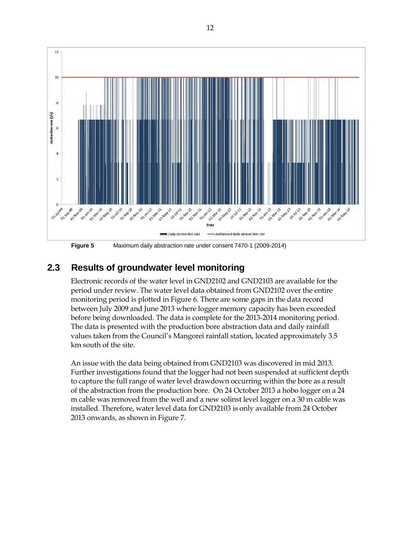

**Figure 5** Maximum daily abstraction rate under consent 7470-1 (2009-2014)

## **2.3 Results of groundwater level monitoring**

Electronic records of the water level in GND2102 and GND2103 are available for the period under review. The water level data obtained from GND2102 over the entire monitoring period is plotted in Figure 6. There are some gaps in the data record between July 2009 and June 2013 where logger memory capacity has been exceeded before being downloaded. The data is complete for the 2013-2014 monitoring period. The data is presented with the production bore abstraction data and daily rainfall values taken from the Council's Mangorei rainfall station, located approximately 3.5 km south of the site.

An issue with the data being obtained from GND2103 was discovered in mid 2013. Further investigations found that the logger had not been suspended at sufficient depth to capture the full range of water level drawdown occurring within the bore as a result of the abstraction from the production bore. On 24 October 2013 a hobo logger on a 24 m cable was removed from the well and a new solinst level logger on a 30 m cable was installed. Therefore, water level data for GND2103 is only available from 24 October 2013 onwards, as shown in Figure 7.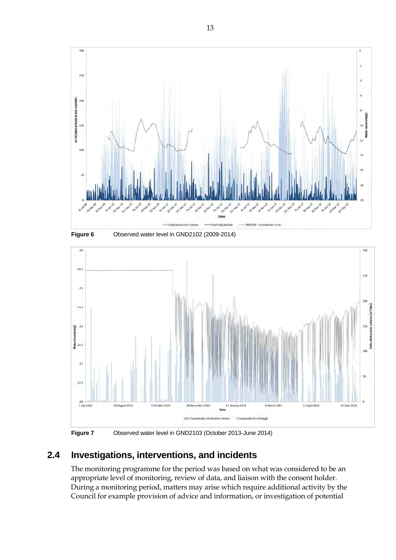

**Figure 6** Observed water level in GND2102 (2009-2014)



**Figure 7** Observed water level in GND2103 (October 2013-June 2014)

## **2.4 Investigations, interventions, and incidents**

The monitoring programme for the period was based on what was considered to be an appropriate level of monitoring, review of data, and liaison with the consent holder. During a monitoring period, matters may arise which require additional activity by the Council for example provision of advice and information, or investigation of potential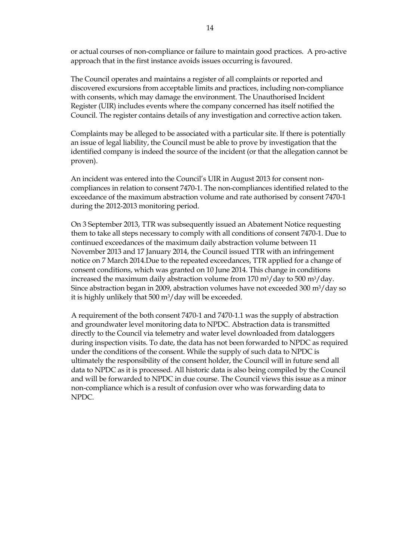or actual courses of non-compliance or failure to maintain good practices. A pro-active approach that in the first instance avoids issues occurring is favoured.

The Council operates and maintains a register of all complaints or reported and discovered excursions from acceptable limits and practices, including non-compliance with consents, which may damage the environment. The Unauthorised Incident Register (UIR) includes events where the company concerned has itself notified the Council. The register contains details of any investigation and corrective action taken.

Complaints may be alleged to be associated with a particular site. If there is potentially an issue of legal liability, the Council must be able to prove by investigation that the identified company is indeed the source of the incident (or that the allegation cannot be proven).

An incident was entered into the Council's UIR in August 2013 for consent noncompliances in relation to consent 7470-1. The non-compliances identified related to the exceedance of the maximum abstraction volume and rate authorised by consent 7470-1 during the 2012-2013 monitoring period.

On 3 September 2013, TTR was subsequently issued an Abatement Notice requesting them to take all steps necessary to comply with all conditions of consent 7470-1. Due to continued exceedances of the maximum daily abstraction volume between 11 November 2013 and 17 January 2014, the Council issued TTR with an infringement notice on 7 March 2014.Due to the repeated exceedances, TTR applied for a change of consent conditions, which was granted on 10 June 2014. This change in conditions increased the maximum daily abstraction volume from  $170 \text{ m}^3/\text{day}$  to  $500 \text{ m}^3/\text{day}$ . Since abstraction began in 2009, abstraction volumes have not exceeded 300 m<sup>3</sup>/day so it is highly unlikely that 500 m3/day will be exceeded.

A requirement of the both consent 7470-1 and 7470-1.1 was the supply of abstraction and groundwater level monitoring data to NPDC. Abstraction data is transmitted directly to the Council via telemetry and water level downloaded from dataloggers during inspection visits. To date, the data has not been forwarded to NPDC as required under the conditions of the consent. While the supply of such data to NPDC is ultimately the responsibility of the consent holder, the Council will in future send all data to NPDC as it is processed. All historic data is also being compiled by the Council and will be forwarded to NPDC in due course. The Council views this issue as a minor non-compliance which is a result of confusion over who was forwarding data to NPDC.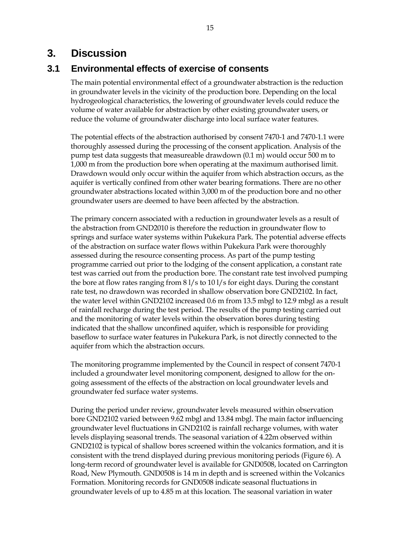## **3. Discussion**

## **3.1 Environmental effects of exercise of consents**

The main potential environmental effect of a groundwater abstraction is the reduction in groundwater levels in the vicinity of the production bore. Depending on the local hydrogeological characteristics, the lowering of groundwater levels could reduce the volume of water available for abstraction by other existing groundwater users, or reduce the volume of groundwater discharge into local surface water features.

The potential effects of the abstraction authorised by consent 7470-1 and 7470-1.1 were thoroughly assessed during the processing of the consent application. Analysis of the pump test data suggests that measureable drawdown (0.1 m) would occur 500 m to 1,000 m from the production bore when operating at the maximum authorised limit. Drawdown would only occur within the aquifer from which abstraction occurs, as the aquifer is vertically confined from other water bearing formations. There are no other groundwater abstractions located within 3,000 m of the production bore and no other groundwater users are deemed to have been affected by the abstraction.

The primary concern associated with a reduction in groundwater levels as a result of the abstraction from GND2010 is therefore the reduction in groundwater flow to springs and surface water systems within Pukekura Park. The potential adverse effects of the abstraction on surface water flows within Pukekura Park were thoroughly assessed during the resource consenting process. As part of the pump testing programme carried out prior to the lodging of the consent application, a constant rate test was carried out from the production bore. The constant rate test involved pumping the bore at flow rates ranging from  $81/s$  to  $101/s$  for eight days. During the constant rate test, no drawdown was recorded in shallow observation bore GND2102. In fact, the water level within GND2102 increased 0.6 m from 13.5 mbgl to 12.9 mbgl as a result of rainfall recharge during the test period. The results of the pump testing carried out and the monitoring of water levels within the observation bores during testing indicated that the shallow unconfined aquifer, which is responsible for providing baseflow to surface water features in Pukekura Park, is not directly connected to the aquifer from which the abstraction occurs.

The monitoring programme implemented by the Council in respect of consent 7470-1 included a groundwater level monitoring component, designed to allow for the ongoing assessment of the effects of the abstraction on local groundwater levels and groundwater fed surface water systems.

During the period under review, groundwater levels measured within observation bore GND2102 varied between 9.62 mbgl and 13.84 mbgl. The main factor influencing groundwater level fluctuations in GND2102 is rainfall recharge volumes, with water levels displaying seasonal trends. The seasonal variation of 4.22m observed within GND2102 is typical of shallow bores screened within the volcanics formation, and it is consistent with the trend displayed during previous monitoring periods (Figure 6). A long-term record of groundwater level is available for GND0508, located on Carrington Road, New Plymouth. GND0508 is 14 m in depth and is screened within the Volcanics Formation. Monitoring records for GND0508 indicate seasonal fluctuations in groundwater levels of up to 4.85 m at this location. The seasonal variation in water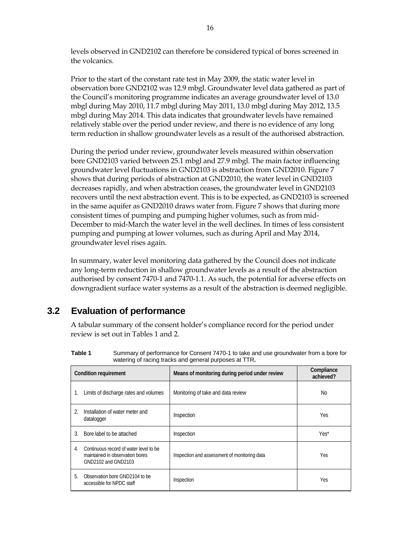levels observed in GND2102 can therefore be considered typical of bores screened in the volcanics.

Prior to the start of the constant rate test in May 2009, the static water level in observation bore GND2102 was 12.9 mbgl. Groundwater level data gathered as part of the Council's monitoring programme indicates an average groundwater level of 13.0 mbgl during May 2010, 11.7 mbgl during May 2011, 13.0 mbgl during May 2012, 13.5 mbgl during May 2014. This data indicates that groundwater levels have remained relatively stable over the period under review, and there is no evidence of any long term reduction in shallow groundwater levels as a result of the authorised abstraction.

During the period under review, groundwater levels measured within observation bore GND2103 varied between 25.1 mbgl and 27.9 mbgl. The main factor influencing groundwater level fluctuations in GND2103 is abstraction from GND2010. Figure 7 shows that during periods of abstraction at GND2010, the water level in GND2103 decreases rapidly, and when abstraction ceases, the groundwater level in GND2103 recovers until the next abstraction event. This is to be expected, as GND2103 is screened in the same aquifer as GND2010 draws water from. Figure 7 shows that during more consistent times of pumping and pumping higher volumes, such as from mid-December to mid-March the water level in the well declines. In times of less consistent pumping and pumping at lower volumes, such as during April and May 2014, groundwater level rises again.

In summary, water level monitoring data gathered by the Council does not indicate any long-term reduction in shallow groundwater levels as a result of the abstraction authorised by consent 7470-1 and 7470-1.1. As such, the potential for adverse effects on downgradient surface water systems as a result of the abstraction is deemed negligible.

## **3.2 Evaluation of performance**

A tabular summary of the consent holder's compliance record for the period under review is set out in Tables 1 and 2.

| Table 1 | Summary of performance for Consent 7470-1 to take and use groundwater from a bore for |
|---------|---------------------------------------------------------------------------------------|
|         | watering of racing tracks and general purposes at TTR.                                |

|                       | <b>Condition requirement</b>                                                                     | Means of monitoring during period under review | Compliance<br>achieved? |
|-----------------------|--------------------------------------------------------------------------------------------------|------------------------------------------------|-------------------------|
| 1.                    | Limits of discharge rates and volumes                                                            | Monitoring of take and data review             | No                      |
| $\mathcal{D}_{\cdot}$ | Installation of water meter and<br>datalogger                                                    | Inspection                                     | Yes                     |
| 3.                    | Bore label to be attached                                                                        | Inspection                                     | Yes*                    |
| $\overline{4}$ .      | Continuous record of water level to be<br>maintained in observation bores<br>GND2102 and GND2103 | Inspection and assessment of monitoring data   | Yes                     |
| .5.                   | Observation bore GND2104 to be<br>accessible for NPDC staff                                      | Inspection                                     | Yes                     |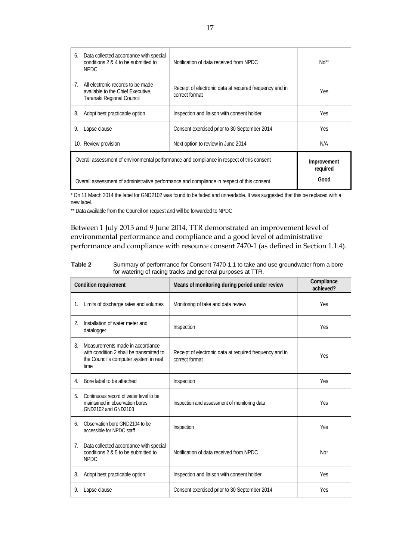| 6.                                                                                         | Data collected accordance with special<br>conditions 2 & 4 to be submitted to<br>NPDC.              | Notification of data received from NPDC                                   | $No^{**}$ |
|--------------------------------------------------------------------------------------------|-----------------------------------------------------------------------------------------------------|---------------------------------------------------------------------------|-----------|
| 7.                                                                                         | All electronic records to be made<br>available to the Chief Executive,<br>Taranaki Regional Council | Receipt of electronic data at required frequency and in<br>correct format | Yes       |
| 8.                                                                                         | Adopt best practicable option                                                                       | Inspection and liaison with consent holder                                | Yes       |
| 9.                                                                                         | Lapse clause                                                                                        | Consent exercised prior to 30 September 2014                              | Yes.      |
|                                                                                            | 10. Review provision<br>Next option to review in June 2014                                          |                                                                           | N/A       |
|                                                                                            | Overall assessment of environmental performance and compliance in respect of this consent           | Improvement<br>required                                                   |           |
| Overall assessment of administrative performance and compliance in respect of this consent |                                                                                                     |                                                                           | Good      |

\* On 11 March 2014 the label for GND2102 was found to be faded and unreadable. It was suggested that this be replaced with a new label.

\*\* Data available from the Council on request and will be forwarded to NPDC

Between 1 July 2013 and 9 June 2014, TTR demonstrated an improvement level of environmental performance and compliance and a good level of administrative performance and compliance with resource consent 7470-1 (as defined in Section 1.1.4).

| Table 2 | Summary of performance for Consent 7470-1.1 to take and use groundwater from a bore |
|---------|-------------------------------------------------------------------------------------|
|         | for watering of racing tracks and general purposes at TTR.                          |

|                | <b>Condition requirement</b>                                                                                                 | Means of monitoring during period under review                            | Compliance<br>achieved? |
|----------------|------------------------------------------------------------------------------------------------------------------------------|---------------------------------------------------------------------------|-------------------------|
| 1.             | Limits of discharge rates and volumes                                                                                        | Monitoring of take and data review                                        | Yes                     |
| 2.             | Installation of water meter and<br>datalogger                                                                                | Inspection                                                                | <b>Yes</b>              |
| 3.             | Measurements made in accordance<br>with condition 2 shall be transmitted to<br>the Council's computer system in real<br>time | Receipt of electronic data at required frequency and in<br>correct format | <b>Yes</b>              |
| 4 <sub>1</sub> | Bore label to be attached                                                                                                    | Inspection                                                                | <b>Yes</b>              |
| 5.             | Continuous record of water level to be<br>maintained in observation bores<br>GND2102 and GND2103                             | Inspection and assessment of monitoring data                              | <b>Yes</b>              |
| 6.             | Observation bore GND2104 to be<br>accessible for NPDC staff                                                                  | Inspection                                                                | Yes                     |
| 7.             | Data collected accordance with special<br>conditions 2 & 5 to be submitted to<br><b>NPDC</b>                                 | Notification of data received from NPDC                                   | $No^*$                  |
| 8.             | Adopt best practicable option                                                                                                | Inspection and liaison with consent holder                                | <b>Yes</b>              |
| 9.             | Lapse clause                                                                                                                 | Consent exercised prior to 30 September 2014                              | <b>Yes</b>              |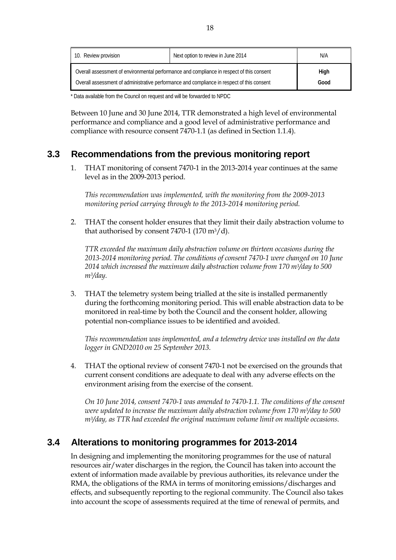| 10. Review provision                                                                       | Next option to review in June 2014 | N/A |
|--------------------------------------------------------------------------------------------|------------------------------------|-----|
| Overall assessment of environmental performance and compliance in respect of this consent  | High                               |     |
| Overall assessment of administrative performance and compliance in respect of this consent | Good                               |     |

\* Data available from the Council on request and will be forwarded to NPDC

Between 10 June and 30 June 2014, TTR demonstrated a high level of environmental performance and compliance and a good level of administrative performance and compliance with resource consent 7470-1.1 (as defined in Section 1.1.4).

## **3.3 Recommendations from the previous monitoring report**

1. THAT monitoring of consent 7470-1 in the 2013-2014 year continues at the same level as in the 2009-2013 period.

*This recommendation was implemented, with the monitoring from the 2009-2013 monitoring period carrying through to the 2013-2014 monitoring period.*

2. THAT the consent holder ensures that they limit their daily abstraction volume to that authorised by consent 7470-1 (170 m<sup>3</sup>/d).

*TTR exceeded the maximum daily abstraction volume on thirteen occasions during the 2013-2014 monitoring period. The conditions of consent 7470-1 were changed on 10 June 2014 which increased the maximum daily abstraction volume from 170 m3/day to 500 m3/day.* 

3. THAT the telemetry system being trialled at the site is installed permanently during the forthcoming monitoring period. This will enable abstraction data to be monitored in real-time by both the Council and the consent holder, allowing potential non-compliance issues to be identified and avoided.

*This recommendation was implemented, and a telemetry device was installed on the data logger in GND2010 on 25 September 2013.*

4. THAT the optional review of consent 7470-1 not be exercised on the grounds that current consent conditions are adequate to deal with any adverse effects on the environment arising from the exercise of the consent.

*On 10 June 2014, consent 7470-1 was amended to 7470-1.1. The conditions of the consent were updated to increase the maximum daily abstraction volume from 170 m3/day to 500 m3/day, as TTR had exceeded the original maximum volume limit on multiple occasions.*

## **3.4 Alterations to monitoring programmes for 2013-2014**

In designing and implementing the monitoring programmes for the use of natural resources air/water discharges in the region, the Council has taken into account the extent of information made available by previous authorities, its relevance under the RMA, the obligations of the RMA in terms of monitoring emissions/discharges and effects, and subsequently reporting to the regional community. The Council also takes into account the scope of assessments required at the time of renewal of permits, and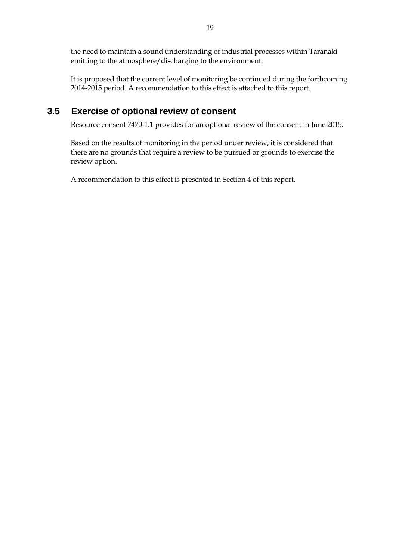the need to maintain a sound understanding of industrial processes within Taranaki emitting to the atmosphere/discharging to the environment.

It is proposed that the current level of monitoring be continued during the forthcoming 2014-2015 period. A recommendation to this effect is attached to this report.

## **3.5 Exercise of optional review of consent**

Resource consent 7470-1.1 provides for an optional review of the consent in June 2015.

Based on the results of monitoring in the period under review, it is considered that there are no grounds that require a review to be pursued or grounds to exercise the review option.

A recommendation to this effect is presented in Section 4 of this report.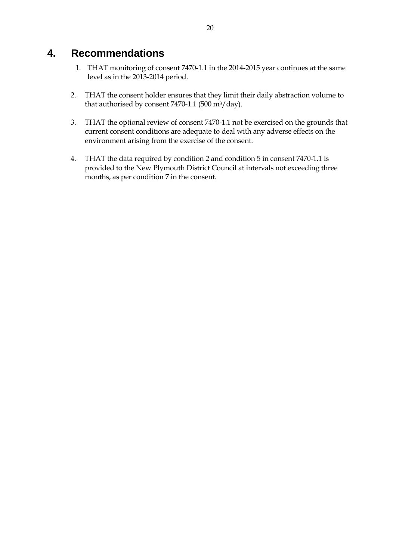## **4. Recommendations**

- 1. THAT monitoring of consent 7470-1.1 in the 2014-2015 year continues at the same level as in the 2013-2014 period.
- 2. THAT the consent holder ensures that they limit their daily abstraction volume to that authorised by consent 7470-1.1 (500 m<sup>3</sup>/day).
- 3. THAT the optional review of consent 7470-1.1 not be exercised on the grounds that current consent conditions are adequate to deal with any adverse effects on the environment arising from the exercise of the consent.
- 4. THAT the data required by condition 2 and condition 5 in consent 7470-1.1 is provided to the New Plymouth District Council at intervals not exceeding three months, as per condition 7 in the consent.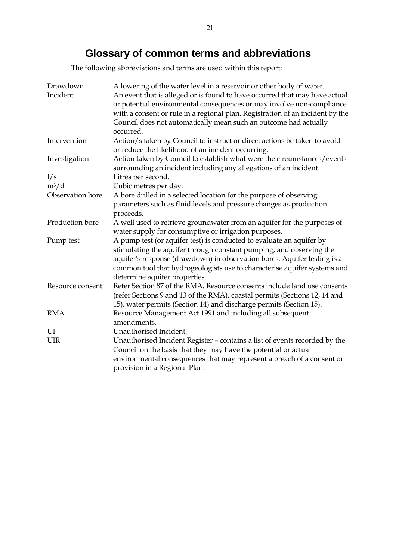# **Glossary of common te**r**ms and abbreviations**

The following abbreviations and terms are used within this report:

| Drawdown<br>Incident | A lowering of the water level in a reservoir or other body of water.<br>An event that is alleged or is found to have occurred that may have actual<br>or potential environmental consequences or may involve non-compliance<br>with a consent or rule in a regional plan. Registration of an incident by the<br>Council does not automatically mean such an outcome had actually<br>occurred. |
|----------------------|-----------------------------------------------------------------------------------------------------------------------------------------------------------------------------------------------------------------------------------------------------------------------------------------------------------------------------------------------------------------------------------------------|
| Intervention         | Action/s taken by Council to instruct or direct actions be taken to avoid<br>or reduce the likelihood of an incident occurring.                                                                                                                                                                                                                                                               |
| Investigation        | Action taken by Council to establish what were the circumstances/events<br>surrounding an incident including any allegations of an incident                                                                                                                                                                                                                                                   |
| 1/s                  | Litres per second.                                                                                                                                                                                                                                                                                                                                                                            |
| $m^3/d$              | Cubic metres per day.                                                                                                                                                                                                                                                                                                                                                                         |
| Observation bore     | A bore drilled in a selected location for the purpose of observing<br>parameters such as fluid levels and pressure changes as production<br>proceeds.                                                                                                                                                                                                                                         |
| Production bore      | A well used to retrieve groundwater from an aquifer for the purposes of<br>water supply for consumptive or irrigation purposes.                                                                                                                                                                                                                                                               |
| Pump test            | A pump test (or aquifer test) is conducted to evaluate an aquifer by<br>stimulating the aquifer through constant pumping, and observing the<br>aquifer's response (drawdown) in observation bores. Aquifer testing is a<br>common tool that hydrogeologists use to characterise aquifer systems and<br>determine aquifer properties.                                                          |
| Resource consent     | Refer Section 87 of the RMA. Resource consents include land use consents<br>(refer Sections 9 and 13 of the RMA), coastal permits (Sections 12, 14 and<br>15), water permits (Section 14) and discharge permits (Section 15).                                                                                                                                                                 |
| <b>RMA</b>           | Resource Management Act 1991 and including all subsequent<br>amendments.                                                                                                                                                                                                                                                                                                                      |
| UI                   | Unauthorised Incident.                                                                                                                                                                                                                                                                                                                                                                        |
| UIR                  | Unauthorised Incident Register - contains a list of events recorded by the                                                                                                                                                                                                                                                                                                                    |
|                      | Council on the basis that they may have the potential or actual                                                                                                                                                                                                                                                                                                                               |
|                      | environmental consequences that may represent a breach of a consent or                                                                                                                                                                                                                                                                                                                        |
|                      | provision in a Regional Plan.                                                                                                                                                                                                                                                                                                                                                                 |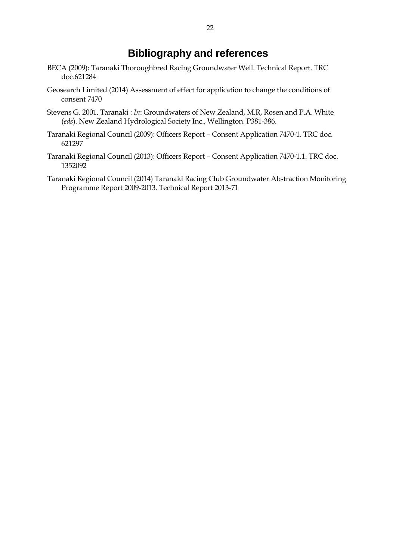## **Bibliography and references**

- BECA (2009): Taranaki Thoroughbred Racing Groundwater Well. Technical Report. TRC doc.621284
- Geosearch Limited (2014) Assessment of effect for application to change the conditions of consent 7470
- Stevens G. 2001. Taranaki : *In*: Groundwaters of New Zealand, M.R, Rosen and P.A. White (*eds*). New Zealand Hydrological Society Inc., Wellington. P381-386.
- Taranaki Regional Council (2009): Officers Report Consent Application 7470-1. TRC doc. 621297
- Taranaki Regional Council (2013): Officers Report Consent Application 7470-1.1. TRC doc. 1352092
- Taranaki Regional Council (2014) Taranaki Racing Club Groundwater Abstraction Monitoring Programme Report 2009-2013. Technical Report 2013-71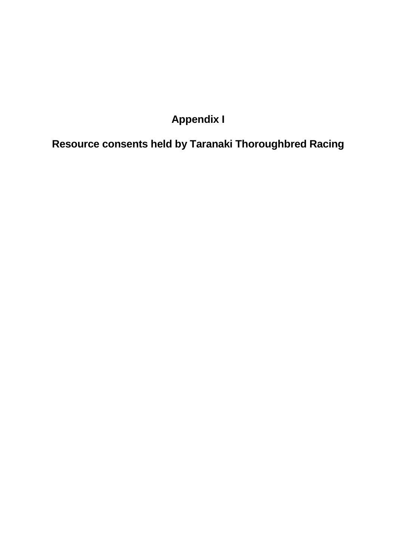# **Appendix I**

**Resource consents held by Taranaki Thoroughbred Racing**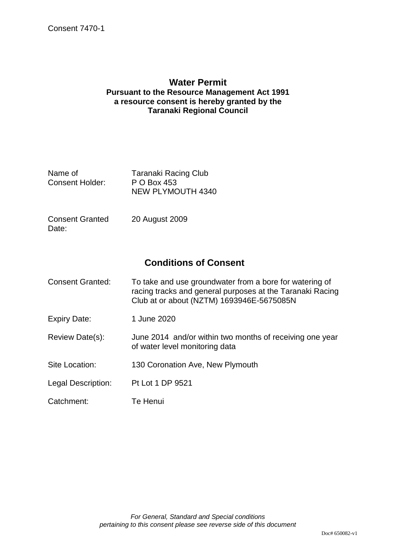### **Water Permit Pursuant to the Resource Management Act 1991 a resource consent is hereby granted by the Taranaki Regional Council**

| Name of         | <b>Taranaki Racing Club</b> |
|-----------------|-----------------------------|
| Consent Holder: | P O Box 453                 |
|                 | NEW PLYMOUTH 4340           |

Consent Granted Date: 20 August 2009

## **Conditions of Consent**

- Consent Granted: To take and use groundwater from a bore for watering of racing tracks and general purposes at the Taranaki Racing Club at or about (NZTM) 1693946E-5675085N Expiry Date: 1 June 2020
- Review Date(s): June 2014 and/or within two months of receiving one year of water level monitoring data
- Site Location: 130 Coronation Ave, New Plymouth
- Legal Description: Pt Lot 1 DP 9521
- Catchment: Te Henui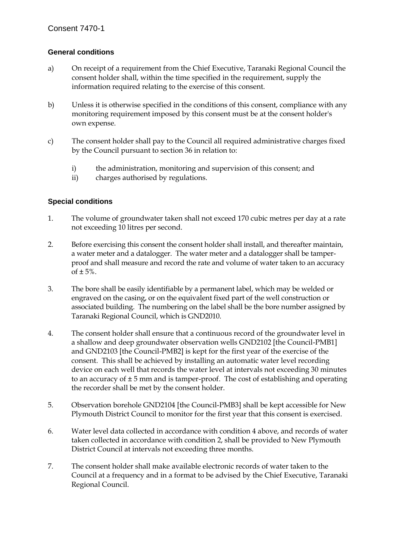### **General conditions**

- a) On receipt of a requirement from the Chief Executive, Taranaki Regional Council the consent holder shall, within the time specified in the requirement, supply the information required relating to the exercise of this consent.
- b) Unless it is otherwise specified in the conditions of this consent, compliance with any monitoring requirement imposed by this consent must be at the consent holder's own expense.
- c) The consent holder shall pay to the Council all required administrative charges fixed by the Council pursuant to section 36 in relation to:
	- i) the administration, monitoring and supervision of this consent; and
	- ii) charges authorised by regulations.

### **Special conditions**

- 1. The volume of groundwater taken shall not exceed 170 cubic metres per day at a rate not exceeding 10 litres per second.
- 2. Before exercising this consent the consent holder shall install, and thereafter maintain, a water meter and a datalogger. The water meter and a datalogger shall be tamperproof and shall measure and record the rate and volume of water taken to an accuracy of  $\pm$  5%.
- 3. The bore shall be easily identifiable by a permanent label, which may be welded or engraved on the casing, or on the equivalent fixed part of the well construction or associated building. The numbering on the label shall be the bore number assigned by Taranaki Regional Council, which is GND2010.
- 4. The consent holder shall ensure that a continuous record of the groundwater level in a shallow and deep groundwater observation wells GND2102 [the Council-PMB1] and GND2103 [the Council-PMB2] is kept for the first year of the exercise of the consent. This shall be achieved by installing an automatic water level recording device on each well that records the water level at intervals not exceeding 30 minutes to an accuracy of  $\pm 5$  mm and is tamper-proof. The cost of establishing and operating the recorder shall be met by the consent holder.
- 5. Observation borehole GND2104 [the Council-PMB3] shall be kept accessible for New Plymouth District Council to monitor for the first year that this consent is exercised.
- 6. Water level data collected in accordance with condition 4 above, and records of water taken collected in accordance with condition 2, shall be provided to New Plymouth District Council at intervals not exceeding three months.
- 7. The consent holder shall make available electronic records of water taken to the Council at a frequency and in a format to be advised by the Chief Executive, Taranaki Regional Council.